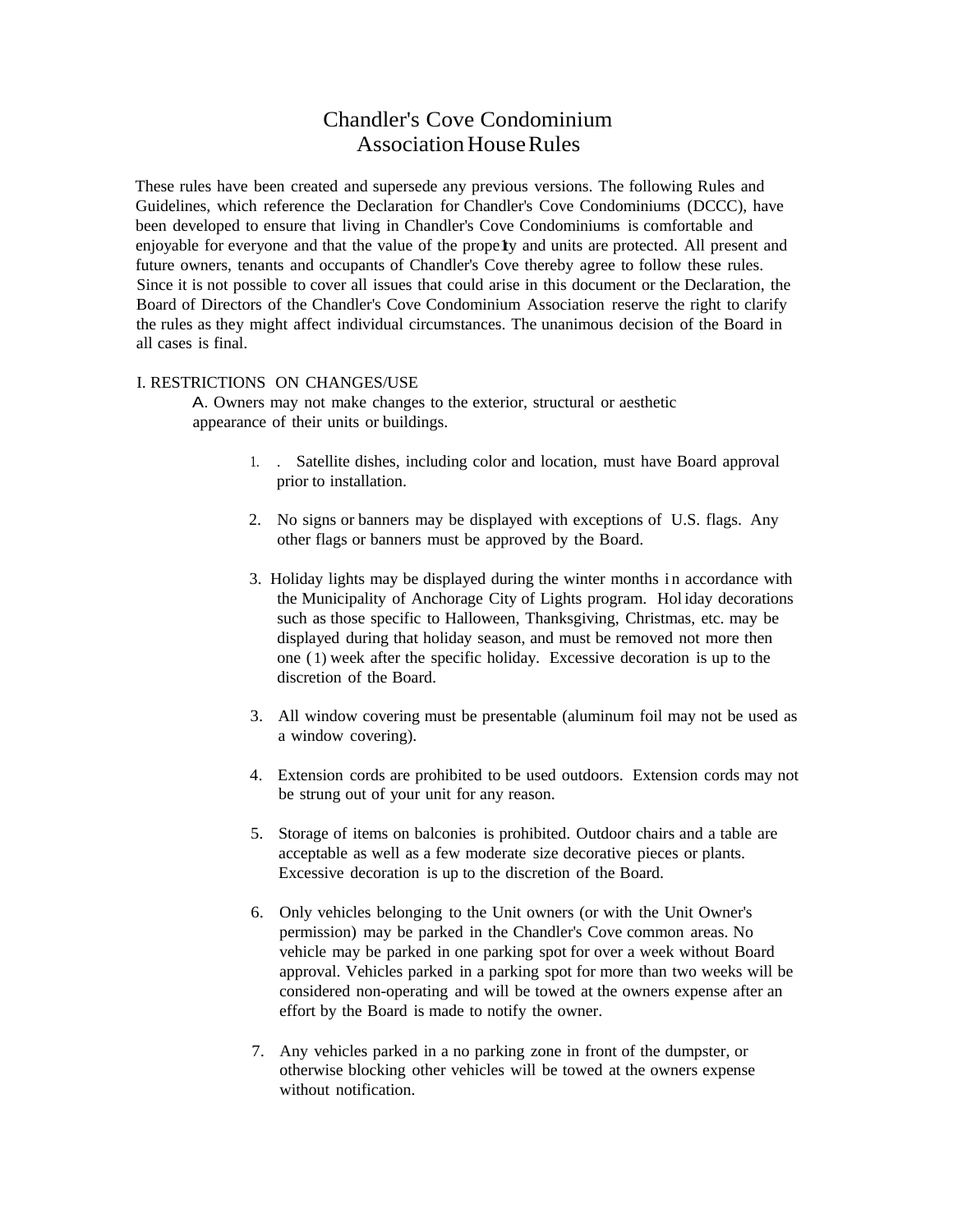# Chandler's Cove Condominium Association House Rules

These rules have been created and supersede any previous versions. The following Rules and Guidelines, which reference the Declaration for Chandler's Cove Condominiums (DCCC), have been developed to ensure that living in Chandler's Cove Condominiums is comfortable and enjoyable for everyone and that the value of the prope<sup>ty</sup> and units are protected. All present and future owners, tenants and occupants of Chandler's Cove thereby agree to follow these rules. Since it is not possible to cover all issues that could arise in this document or the Declaration, the Board of Directors of the Chandler's Cove Condominium Association reserve the right to clarify the rules as they might affect individual circumstances. The unanimous decision of the Board in all cases is final.

# I. RESTRICTIONS ON CHANGES/USE

A. Owners may not make changes to the exterior, structural or aesthetic appearance of their units or buildings.

- 1. . Satellite dishes, including color and location, must have Board approval prior to installation.
- 2. No signs or banners may be displayed with exceptions of U.S. flags. Any other flags or banners must be approved by the Board.
- 3. Holiday lights may be displayed during the winter months i n accordance with the Municipality of Anchorage City of Lights program. Hol iday decorations such as those specific to Halloween, Thanksgiving, Christmas, etc. may be displayed during that holiday season, and must be removed not more then one ( 1) week after the specific holiday. Excessive decoration is up to the discretion of the Board.
- 3. All window covering must be presentable (aluminum foil may not be used as a window covering).
- 4. Extension cords are prohibited to be used outdoors. Extension cords may not be strung out of your unit for any reason.
- 5. Storage of items on balconies is prohibited. Outdoor chairs and a table are acceptable as well as a few moderate size decorative pieces or plants. Excessive decoration is up to the discretion of the Board.
- 6. Only vehicles belonging to the Unit owners (or with the Unit Owner's permission) may be parked in the Chandler's Cove common areas. No vehicle may be parked in one parking spot for over a week without Board approval. Vehicles parked in a parking spot for more than two weeks will be considered non-operating and will be towed at the owners expense after an effort by the Board is made to notify the owner.
- 7. Any vehicles parked in a no parking zone in front of the dumpster, or otherwise blocking other vehicles will be towed at the owners expense without notification.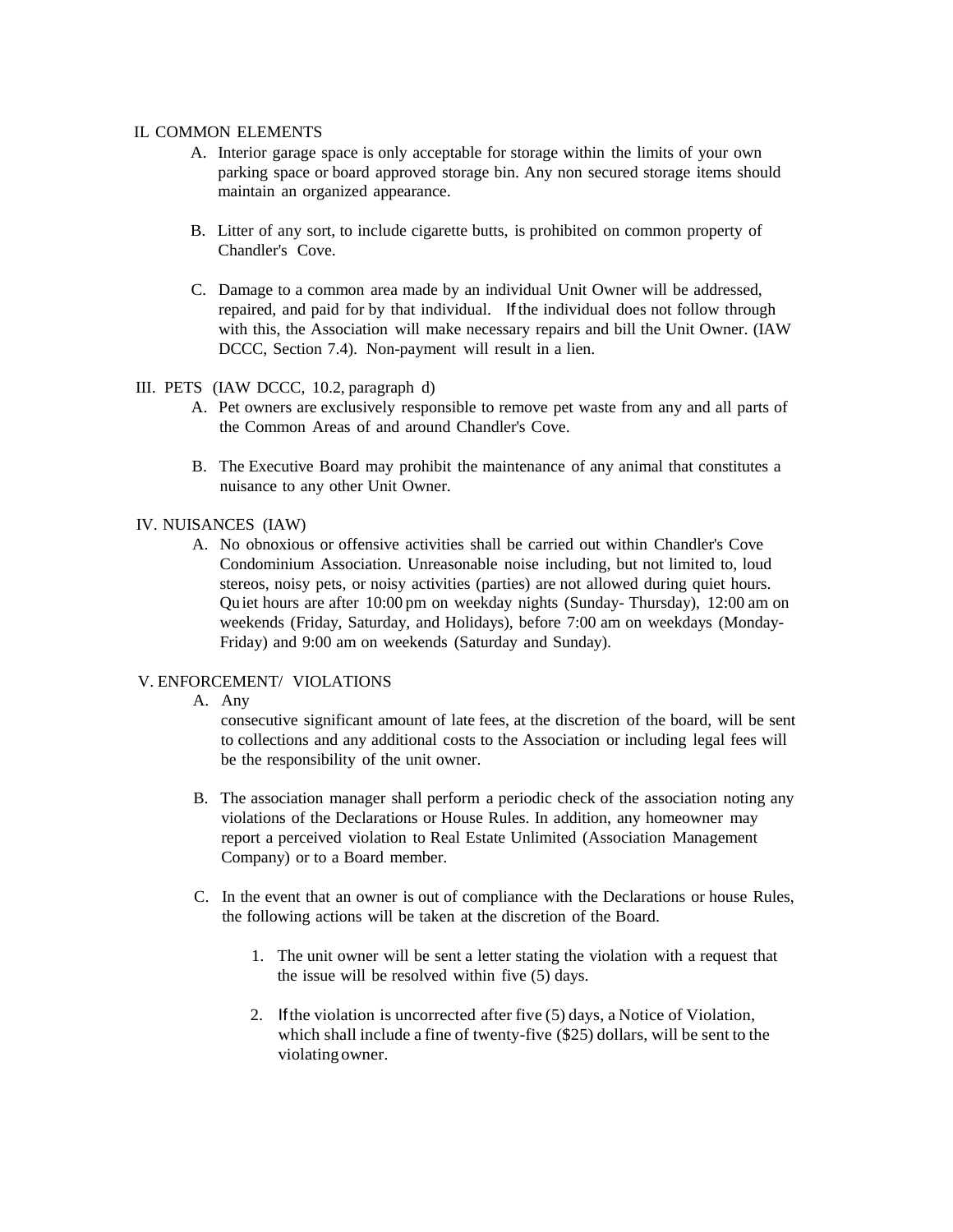## IL COMMON ELEMENTS

- A. Interior garage space is only acceptable for storage within the limits of your own parking space or board approved storage bin. Any non secured storage items should maintain an organized appearance.
- B. Litter of any sort, to include cigarette butts, is prohibited on common property of Chandler's Cove.
- C. Damage to a common area made by an individual Unit Owner will be addressed, repaired, and paid for by that individual. If the individual does not follow through with this, the Association will make necessary repairs and bill the Unit Owner. (IAW DCCC, Section 7.4). Non-payment will result in a lien.

#### III. PETS (IAW DCCC, 10.2, paragraph d)

- A. Pet owners are exclusively responsible to remove pet waste from any and all parts of the Common Areas of and around Chandler's Cove.
- B. The Executive Board may prohibit the maintenance of any animal that constitutes a nuisance to any other Unit Owner.

## IV. NUISANCES (IAW)

A. No obnoxious or offensive activities shall be carried out within Chandler's Cove Condominium Association. Unreasonable noise including, but not limited to, loud stereos, noisy pets, or noisy activities (parties) are not allowed during quiet hours. Quiet hours are after 10:00 pm on weekday nights (Sunday- Thursday), 12:00 am on weekends (Friday, Saturday, and Holidays), before 7:00 am on weekdays (Monday-Friday) and 9:00 am on weekends (Saturday and Sunday).

# V. ENFORCEMENT/ VIOLATIONS

## A. Any

consecutive significant amount of late fees, at the discretion of the board, will be sent to collections and any additional costs to the Association or including legal fees will be the responsibility of the unit owner.

- B. The association manager shall perform a periodic check of the association noting any violations of the Declarations or House Rules. In addition, any homeowner may report a perceived violation to Real Estate Unlimited (Association Management Company) or to a Board member.
- C. In the event that an owner is out of compliance with the Declarations or house Rules, the following actions will be taken at the discretion of the Board.
	- 1. The unit owner will be sent a letter stating the violation with a request that the issue will be resolved within five (5) days.
	- 2. Ifthe violation is uncorrected after five (5) days, a Notice of Violation, which shall include a fine of twenty-five (\$25) dollars, will be sent to the violating owner.